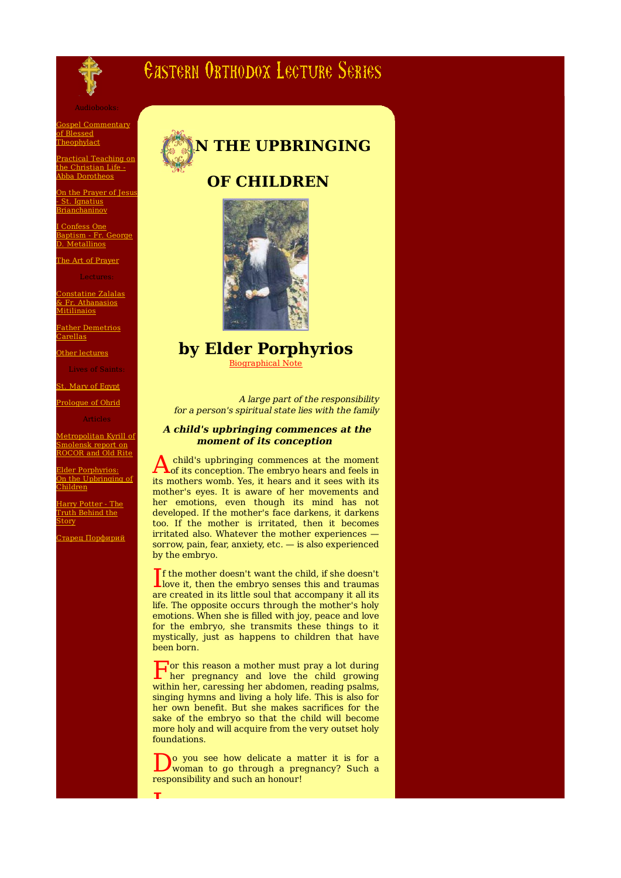

# **CASTERN ORTHODOX LECTURE SERIES**

Gospel Commentary of Blessed Theophylact

ractical Teaching on **the Christian Life** <u>ho Simonum II</u><br>bba Dorotheos

In the Prayer of Jesus St. Ignatius **Trianchaninov** 

Confess One Baptism - Fr. George D. Metallinos

The Art of Prayer

onstatine Zalalas <u>sonstating Edium</u><br>& Fr. Athanasios **Mitilinaios** 

ather Demetrios arellas

Other lectures

t. Mary of Egypt

Prologue of Ohrid

Articles

Metropolitan Kyrill of molensk report ROCOR and Old Rite

Elder Porphyrios: On the Upbringing of Children

Harry Potter - The Truth Behind the tory

.<br><u>'тарец Порфирий</u>





## **by Elder Porphyrios**

Biographical Note

A large part of the responsibility for a person's spiritual state lies with the family

## **A child's upbringing commences at the moment of its conception**

A child's upbringing commences at the moment<br>of its conception. The embryo hears and feels in child's upbringing commences at the moment its mothers womb. Yes, it hears and it sees with its mother's eyes. It is aware of her movements and her emotions, even though its mind has not developed. If the mother's face darkens, it darkens too. If the mother is irritated, then it becomes irritated also. Whatever the mother experiences sorrow, pain, fear, anxiety, etc. — is also experienced by the embryo.

If the mother doesn't want the child, if she doesn't<br>love it, then the embryo senses this and traumas love it, then the embryo senses this and traumas are created in its little soul that accompany it all its life. The opposite occurs through the mother's holy emotions. When she is filled with joy, peace and love for the embryo, she transmits these things to it mystically, just as happens to children that have been born.

F or this reason a mother must pray a lot during her pregnancy and love the child growing within her, caressing her abdomen, reading psalms, singing hymns and living a holy life. This is also for her own benefit. But she makes sacrifices for the sake of the embryo so that the child will become more holy and will acquire from the very outset holy foundations.

Do you see how delicate a n<br>responsibility and such an honour!<br>responsibility and such an honour! o you see how delicate a matter it is for a woman to go through a pregnancy? Such a

**I**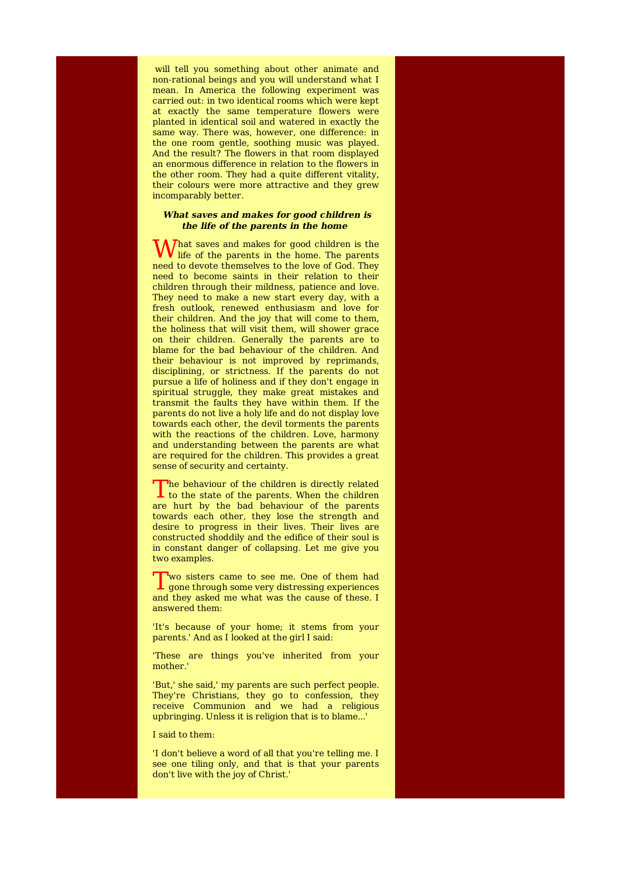will tell you something about other animate and non-rational beings and you will understand what I mean. In America the following experiment was carried out: in two identical rooms which were kept at exactly the same temperature flowers were planted in identical soil and watered in exactly the same way. There was, however, one difference: in the one room gentle, soothing music was played. And the result? The flowers in that room displayed an enormous difference in relation to the flowers in the other room. They had a quite different vitality, their colours were more attractive and they grew incomparably better.

## **What saves and makes for good children is the life of the parents in the home**

What saves and makes for good children is the life of the parents in the home. The parents life of the parents in the home. The parents need to devote themselves to the love of God. They need to become saints in their relation to their children through their mildness, patience and love. They need to make a new start every day, with a fresh outlook, renewed enthusiasm and love for their children. And the joy that will come to them, the holiness that will visit them, will shower grace on their children. Generally the parents are to blame for the bad behaviour of the children. And their behaviour is not improved by reprimands, disciplining, or strictness. If the parents do not pursue a life of holiness and if they don't engage in spiritual struggle, they make great mistakes and transmit the faults they have within them. If the parents do not live a holy life and do not display love towards each other, the devil torments the parents with the reactions of the children. Love, harmony and understanding between the parents are what are required for the children. This provides a great sense of security and certainty.

The behaviour of the children is directly related to the state of the parents. When the children  $\perp$  to the state of the parents. When the children are hurt by the bad behaviour of the parents towards each other, they lose the strength and desire to progress in their lives. Their lives are constructed shoddily and the edifice of their soul is in constant danger of collapsing. Let me give you two examples.

Two sisters came to see me. One of them had<br>gone through some very distressing experiences wo sisters came to see me. One of them had and they asked me what was the cause of these. I answered them:

'It's because of your home; it stems from your parents.' And as I looked at the girl I said:

'These are things you've inherited from your mother.'

'But,' she said,' my parents are such perfect people. They're Christians, they go to confession, they receive Communion and we had a religious upbringing. Unless it is religion that is to blame...'

#### I said to them:

'I don't believe a word of all that you're telling me. I see one tiling only, and that is that your parents don't live with the joy of Christ.'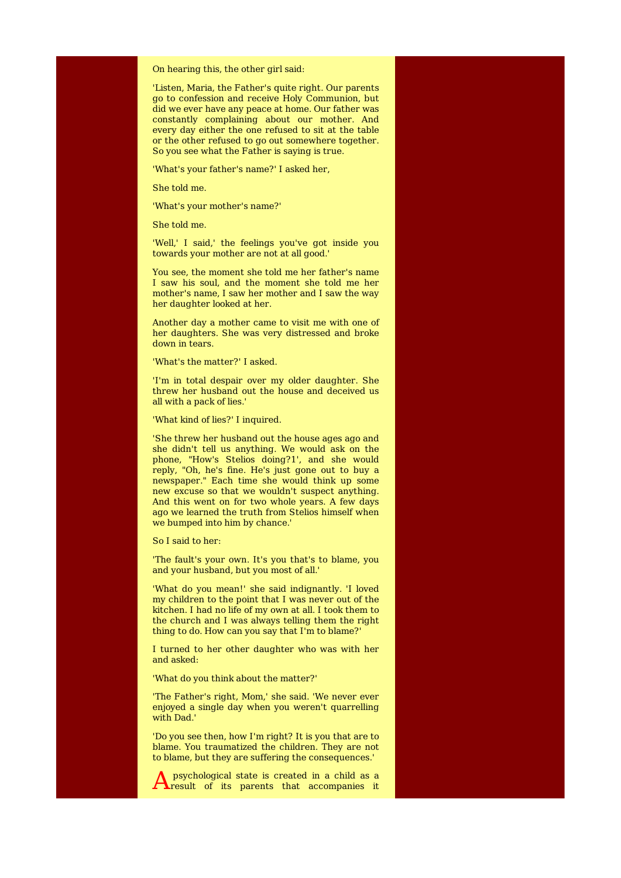On hearing this, the other girl said:

'Listen, Maria, the Father's quite right. Our parents go to confession and receive Holy Communion, but did we ever have any peace at home. Our father was constantly complaining about our mother. And every day either the one refused to sit at the table or the other refused to go out somewhere together. So you see what the Father is saying is true.

'What's your father's name?' I asked her,

She told me.

'What's your mother's name?'

She told me.

'Well,' I said,' the feelings you've got inside you towards your mother are not at all good.'

You see, the moment she told me her father's name I saw his soul, and the moment she told me her mother's name, I saw her mother and I saw the way her daughter looked at her.

Another day a mother came to visit me with one of her daughters. She was very distressed and broke down in tears.

'What's the matter?' I asked.

'I'm in total despair over my older daughter. She threw her husband out the house and deceived us all with a pack of lies.'

'What kind of lies?' I inquired.

'She threw her husband out the house ages ago and she didn't tell us anything. We would ask on the phone, "How's Stelios doing?1', and she would reply, "Oh, he's fine. He's just gone out to buy a newspaper." Each time she would think up some new excuse so that we wouldn't suspect anything. And this went on for two whole years. A few days ago we learned the truth from Stelios himself when we bumped into him by chance.'

So I said to her:

'The fault's your own. It's you that's to blame, you and your husband, but you most of all.'

'What do you mean!' she said indignantly. 'I loved my children to the point that I was never out of the kitchen. I had no life of my own at all. I took them to the church and I was always telling them the right thing to do. How can you say that I'm to blame?'

I turned to her other daughter who was with her and asked:

'What do you think about the matter?'

'The Father's right, Mom,' she said. 'We never ever enjoyed a single day when you weren't quarrelling with Dad.'

'Do you see then, how I'm right? It is you that are to blame. You traumatized the children. They are not to blame, but they are suffering the consequences.'

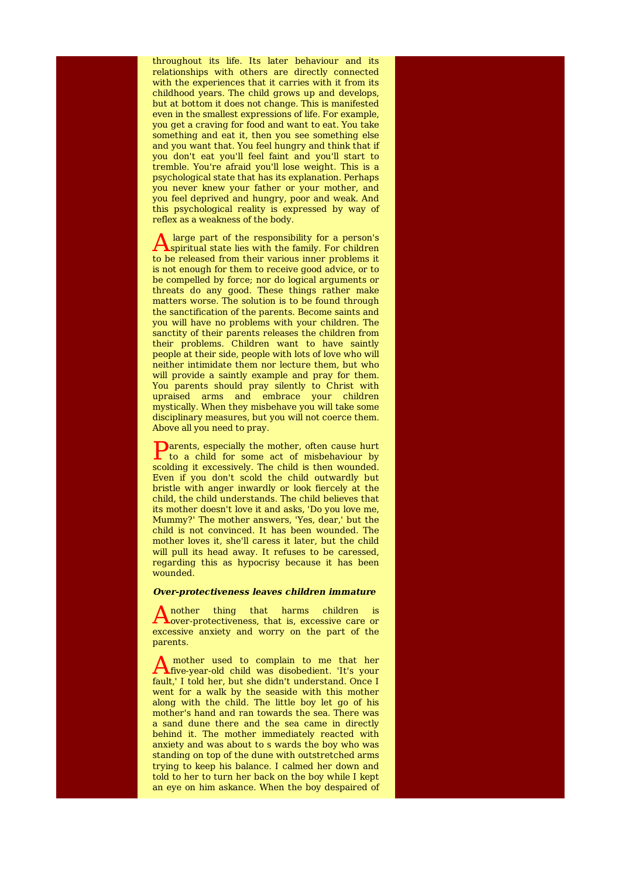throughout its life. Its later behaviour and its relationships with others are directly connected with the experiences that it carries with it from its childhood years. The child grows up and develops, but at bottom it does not change. This is manifested even in the smallest expressions of life. For example, you get a craving for food and want to eat. You take something and eat it, then you see something else and you want that. You feel hungry and think that if you don't eat you'll feel faint and you'll start to tremble. You're afraid you'll lose weight. This is a psychological state that has its explanation. Perhaps you never knew your father or your mother, and you feel deprived and hungry, poor and weak. And this psychological reality is expressed by way of reflex as a weakness of the body.

 $\bigwedge$  large part of the responsibility for a person's spiritual state lies with the family. For children large part of the responsibility for a person's to be released from their various inner problems it is not enough for them to receive good advice, or to be compelled by force; nor do logical arguments or threats do any good. These things rather make matters worse. The solution is to be found through the sanctification of the parents. Become saints and you will have no problems with your children. The sanctity of their parents releases the children from their problems. Children want to have saintly people at their side, people with lots of love who will neither intimidate them nor lecture them, but who will provide a saintly example and pray for them. You parents should pray silently to Christ with upraised arms and embrace your children mystically. When they misbehave you will take some disciplinary measures, but you will not coerce them. Above all you need to pray.

**P**arents, especially the mother, often cause hurt<br>to a child for some act of misbehaviour by to a child for some act of misbehaviour by scolding it excessively. The child is then wounded. Even if you don't scold the child outwardly but bristle with anger inwardly or look fiercely at the child, the child understands. The child believes that its mother doesn't love it and asks, 'Do you love me, Mummy?' The mother answers, 'Yes, dear,' but the child is not convinced. It has been wounded. The mother loves it, she'll caress it later, but the child will pull its head away. It refuses to be caressed, regarding this as hypocrisy because it has been wounded.

#### **Over-protectiveness leaves children immature**

A nother thing that harms children is<br>
over-protectiveness, that is, excessive care or nother thing that harms children is excessive anxiety and worry on the part of the parents.

A mother used to complain to me that her<br>five-year-old child was disobedient. 'It's your mother used to complain to me that her fault,' I told her, but she didn't understand. Once I went for a walk by the seaside with this mother along with the child. The little boy let go of his mother's hand and ran towards the sea. There was a sand dune there and the sea came in directly behind it. The mother immediately reacted with anxiety and was about to s wards the boy who was standing on top of the dune with outstretched arms trying to keep his balance. I calmed her down and told to her to turn her back on the boy while I kept an eye on him askance. When the boy despaired of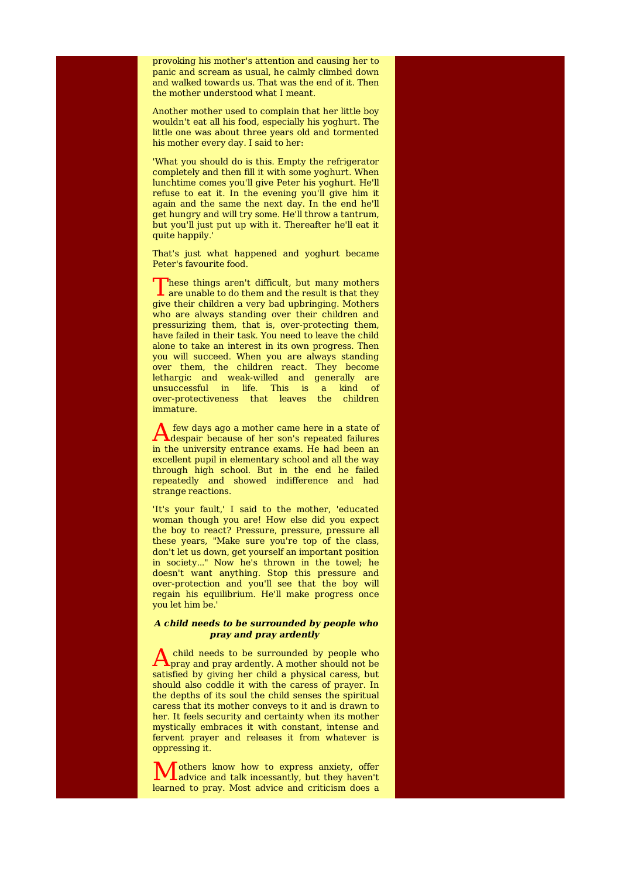provoking his mother's attention and causing her to panic and scream as usual, he calmly climbed down and walked towards us. That was the end of it. Then the mother understood what I meant.

Another mother used to complain that her little boy wouldn't eat all his food, especially his yoghurt. The little one was about three years old and tormented his mother every day. I said to her:

'What you should do is this. Empty the refrigerator completely and then fill it with some yoghurt. When lunchtime comes you'll give Peter his yoghurt. He'll refuse to eat it. In the evening you'll give him it again and the same the next day. In the end he'll get hungry and will try some. He'll throw a tantrum, but you'll just put up with it. Thereafter he'll eat it quite happily.'

That's just what happened and yoghurt became Peter's favourite food.

These things aren't difficult, but many mothers are unable to do them and the result is that they These things aren't difficult, but many mothers give their children a very bad upbringing. Mothers who are always standing over their children and pressurizing them, that is, over-protecting them, have failed in their task. You need to leave the child alone to take an interest in its own progress. Then you will succeed. When you are always standing over them, the children react. They become lethargic and weak-willed and generally are unsuccessful in life. This is a kind of over-protectiveness that leaves the children immature.

A few days ago a mother came here in a state of<br>despair because of her son's repeated failures few days ago a mother came here in a state of in the university entrance exams. He had been an excellent pupil in elementary school and all the way through high school. But in the end he failed repeatedly and showed indifference and had strange reactions.

'It's your fault,' I said to the mother, 'educated woman though you are! How else did you expect the boy to react? Pressure, pressure, pressure all these years, "Make sure you're top of the class, don't let us down, get yourself an important position in society..." Now he's thrown in the towel; he doesn't want anything. Stop this pressure and over-protection and you'll see that the boy will regain his equilibrium. He'll make progress once you let him be.'

## **A child needs to be surrounded by people who pray and pray ardently**

 $A_{\text{pray}}$  and pray ardently. A mother should not be child needs to be surrounded by people who satisfied by giving her child a physical caress, but should also coddle it with the caress of prayer. In the depths of its soul the child senses the spiritual caress that its mother conveys to it and is drawn to her. It feels security and certainty when its mother mystically embraces it with constant, intense and fervent prayer and releases it from whatever is oppressing it.

M others know how to express anxiety, offer advice and talk incessantly, but they haven't advice and talk incessantly, but they haven't learned to pray. Most advice and criticism does a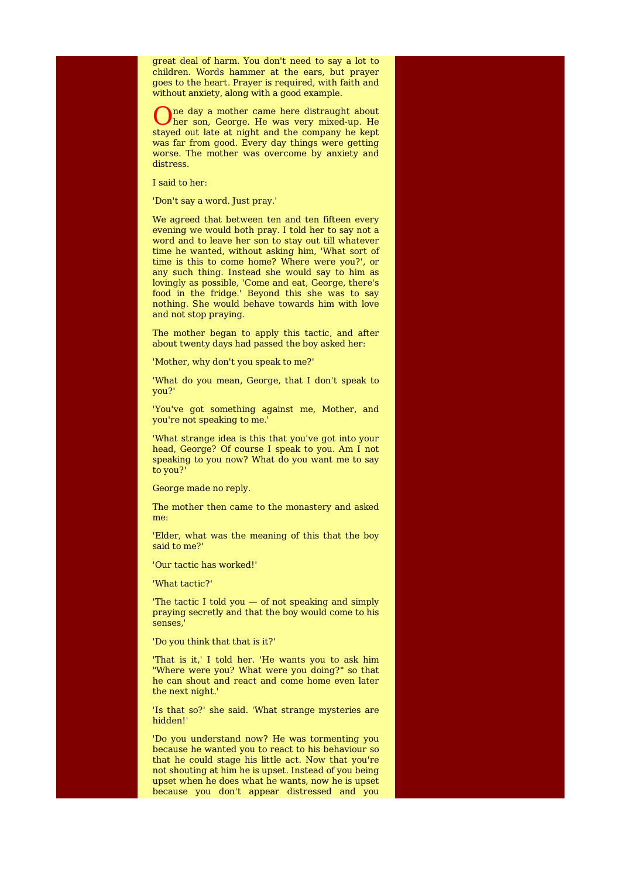great deal of harm. You don't need to say a lot to children. Words hammer at the ears, but prayer goes to the heart. Prayer is required, with faith and without anxiety, along with a good example.

O her son, George. He was very mixed-up. He ne day a mother came here distraught about stayed out late at night and the company he kept was far from good. Every day things were getting worse. The mother was overcome by anxiety and distress.

I said to her:

'Don't say a word. Just pray.'

We agreed that between ten and ten fifteen every evening we would both pray. I told her to say not a word and to leave her son to stay out till whatever time he wanted, without asking him, 'What sort of time is this to come home? Where were you?', or any such thing. Instead she would say to him as lovingly as possible, 'Come and eat, George, there's food in the fridge.' Beyond this she was to say nothing. She would behave towards him with love and not stop praying.

The mother began to apply this tactic, and after about twenty days had passed the boy asked her:

'Mother, why don't you speak to me?'

'What do you mean, George, that I don't speak to you?'

'You've got something against me, Mother, and you're not speaking to me.'

'What strange idea is this that you've got into your head, George? Of course I speak to you. Am I not speaking to you now? What do you want me to say to you?'

George made no reply.

The mother then came to the monastery and asked me:

'Elder, what was the meaning of this that the boy said to me?'

'Our tactic has worked!'

'What tactic?'

'The tactic I told you — of not speaking and simply praying secretly and that the boy would come to his senses,'

'Do you think that that is it?'

'That is it,' I told her. 'He wants you to ask him "Where were you? What were you doing?" so that he can shout and react and come home even later the next night.'

'Is that so?' she said. 'What strange mysteries are hidden!'

'Do you understand now? He was tormenting you because he wanted you to react to his behaviour so that he could stage his little act. Now that you're not shouting at him he is upset. Instead of you being upset when he does what he wants, now he is upset because you don't appear distressed and you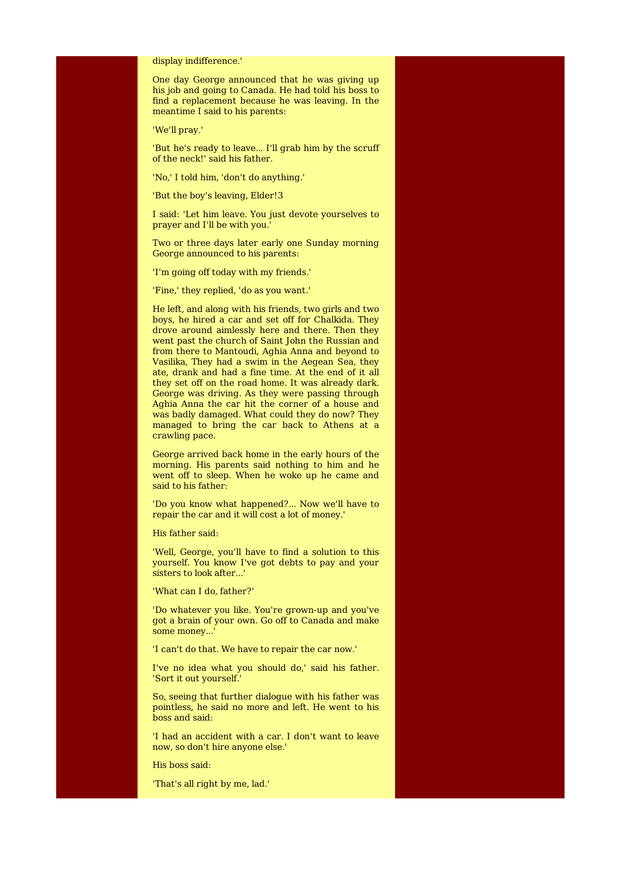#### display indifference.'

One day George announced that he was giving up his job and going to Canada. He had told his boss to find a replacement because he was leaving. In the meantime I said to his parents:

'We'll pray.'

'But he's ready to leave... I'll grab him by the scruff of the neck!' said his father.

'No,' I told him, 'don't do anything.'

'But the boy's leaving, Elder!3

I said: 'Let him leave. You just devote yourselves to prayer and I'll be with you.'

Two or three days later early one Sunday morning George announced to his parents:

'I'm going off today with my friends.'

'Fine,' they replied, 'do as you want.'

He left, and along with his friends, two girls and two boys, he hired a car and set off for Chalkida. They drove around aimlessly here and there. Then they went past the church of Saint John the Russian and from there to Mantoudi, Aghia Anna and beyond to Vasilika, They had a swim in the Aegean Sea, they ate, drank and had a fine time. At the end of it all they set off on the road home. It was already dark. George was driving. As they were passing through Aghia Anna the car hit the corner of a house and was badly damaged. What could they do now? They managed to bring the car back to Athens at a crawling pace.

George arrived back home in the early hours of the morning. His parents said nothing to him and he went off to sleep. When he woke up he came and said to his father:

'Do you know what happened?... Now we'll have to repair the car and it will cost a lot of money.'

His father said:

'Well, George, you'll have to find a solution to this yourself. You know I've got debts to pay and your sisters to look after...

'What can I do, father?'

'Do whatever you like. You're grown-up and you've got a brain of your own. Go off to Canada and make some money...

'I can't do that. We have to repair the car now.'

I've no idea what you should do,' said his father. 'Sort it out yourself.'

So, seeing that further dialogue with his father was pointless, he said no more and left. He went to his boss and said:

'I had an accident with a car. I don't want to leave now, so don't hire anyone else.'

His boss said:

'That's all right by me, lad.'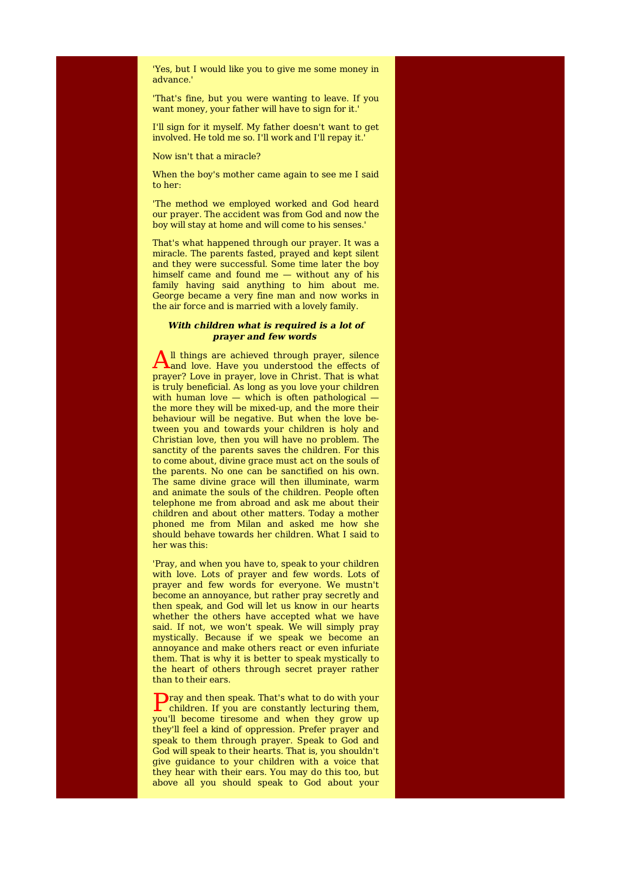'Yes, but I would like you to give me some money in advance.'

'That's fine, but you were wanting to leave. If you want money, your father will have to sign for it.'

I'll sign for it myself. My father doesn't want to get involved. He told me so. I'll work and I'll repay it.'

Now isn't that a miracle?

When the boy's mother came again to see me I said to her:

'The method we employed worked and God heard our prayer. The accident was from God and now the boy will stay at home and will come to his senses.'

That's what happened through our prayer. It was a miracle. The parents fasted, prayed and kept silent and they were successful. Some time later the boy himself came and found me — without any of his family having said anything to him about me. George became a very fine man and now works in the air force and is married with a lovely family.

## **With children what is required is a lot of prayer and few words**

 $A<sup>II</sup>$  things are achieved through prayer, silence and love. Have you understood the effects of ll things are achieved through prayer, silence prayer? Love in prayer, love in Christ. That is what is truly beneficial. As long as you love your children with human love  $-$  which is often pathological  $$ the more they will be mixed-up, and the more their behaviour will be negative. But when the love between you and towards your children is holy and Christian love, then you will have no problem. The sanctity of the parents saves the children. For this to come about, divine grace must act on the souls of the parents. No one can be sanctified on his own. The same divine grace will then illuminate, warm and animate the souls of the children. People often telephone me from abroad and ask me about their children and about other matters. Today a mother phoned me from Milan and asked me how she should behave towards her children. What I said to her was this:

'Pray, and when you have to, speak to your children with love. Lots of prayer and few words. Lots of prayer and few words for everyone. We mustn't become an annoyance, but rather pray secretly and then speak, and God will let us know in our hearts whether the others have accepted what we have said. If not, we won't speak. We will simply pray mystically. Because if we speak we become an annoyance and make others react or even infuriate them. That is why it is better to speak mystically to the heart of others through secret prayer rather than to their ears.

**P**ray and then speak. That's what to do with your children. If you are constantly lecturing them, children. If you are constantly lecturing them, you'll become tiresome and when they grow up they'll feel a kind of oppression. Prefer prayer and speak to them through prayer. Speak to God and God will speak to their hearts. That is, you shouldn't give guidance to your children with a voice that they hear with their ears. You may do this too, but above all you should speak to God about your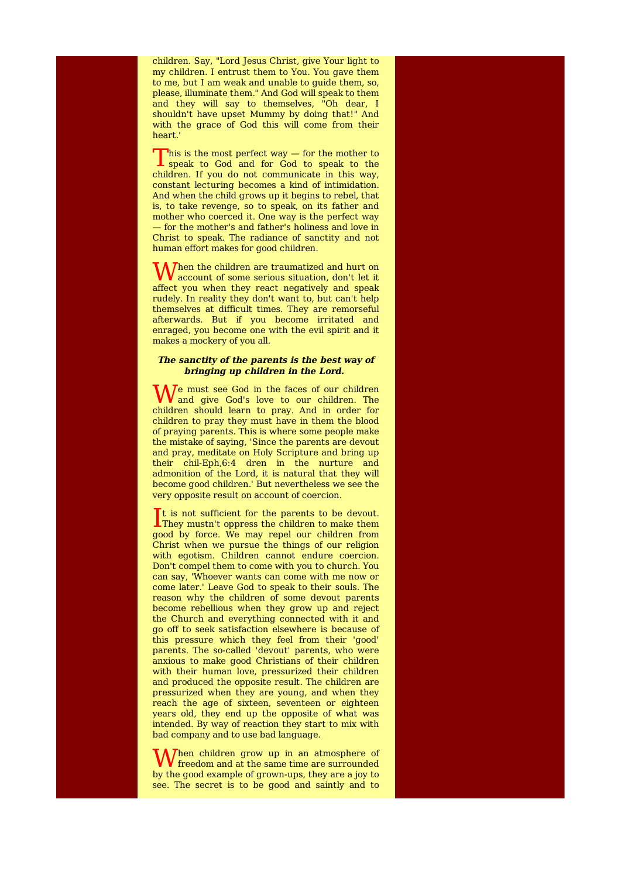children. Say, "Lord Jesus Christ, give Your light to my children. I entrust them to You. You gave them to me, but I am weak and unable to guide them, so, please, illuminate them." And God will speak to them and they will say to themselves, "Oh dear, I shouldn't have upset Mummy by doing that!" And with the grace of God this will come from their heart.'

 $\sum$  his is the most perfect way  $-$  for the mother to speak to the speak to the This is the most perfect way  $-$  for the mother to children. If you do not communicate in this way, constant lecturing becomes a kind of intimidation. And when the child grows up it begins to rebel, that is, to take revenge, so to speak, on its father and mother who coerced it. One way is the perfect way — for the mother's and father's holiness and love in Christ to speak. The radiance of sanctity and not human effort makes for good children.

When the children are traumatized and hurt on<br>account of some serious situation, don't let it account of some serious situation, don't let it affect you when they react negatively and speak rudely. In reality they don't want to, but can't help themselves at difficult times. They are remorseful afterwards. But if you become irritated and enraged, you become one with the evil spirit and it makes a mockery of you all.

## **The sanctity of the parents is the best way of bringing up children in the Lord.**

We must see God in the faces of our children<br>and give God's love to our children. The and give God's love to our children. The children should learn to pray. And in order for children to pray they must have in them the blood of praying parents. This is where some people make the mistake of saying, 'Since the parents are devout and pray, meditate on Holy Scripture and bring up their chil-Eph,6:4 dren in the nurture and admonition of the Lord, it is natural that they will become good children.' But nevertheless we see the very opposite result on account of coercion.

It is not sufficient for the parents to be devout.<br>They must it oppress the children to make them They mustn't oppress the children to make them good by force. We may repel our children from Christ when we pursue the things of our religion with egotism. Children cannot endure coercion. Don't compel them to come with you to church. You can say, 'Whoever wants can come with me now or come later.' Leave God to speak to their souls. The reason why the children of some devout parents become rebellious when they grow up and reject the Church and everything connected with it and go off to seek satisfaction elsewhere is because of this pressure which they feel from their 'good' parents. The so-called 'devout' parents, who were anxious to make good Christians of their children with their human love, pressurized their children and produced the opposite result. The children are pressurized when they are young, and when they reach the age of sixteen, seventeen or eighteen years old, they end up the opposite of what was intended. By way of reaction they start to mix with bad company and to use bad language.

When children grow up in an atmosphere of freedom and at the same time are surrounded freedom and at the same time are surrounded by the good example of grown-ups, they are a joy to see. The secret is to be good and saintly and to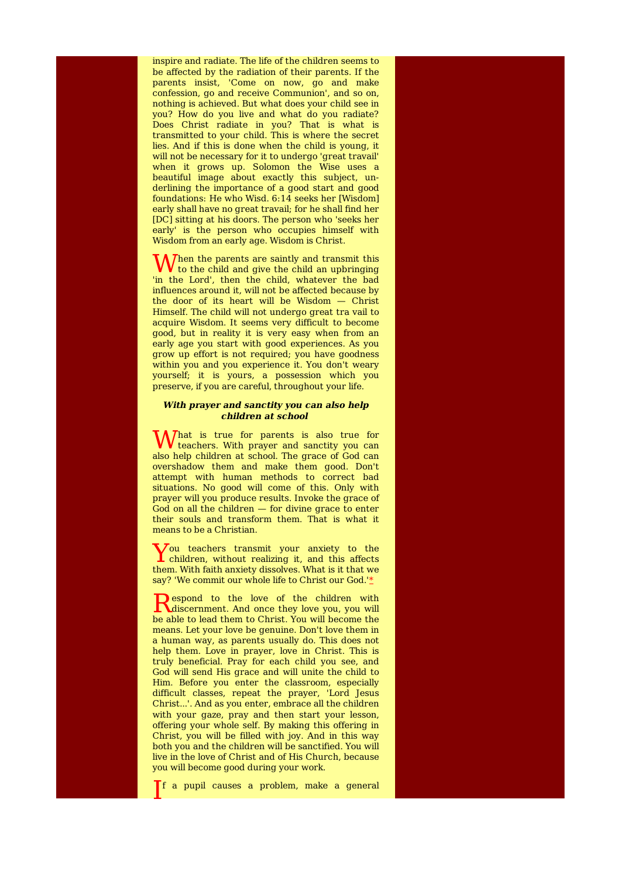inspire and radiate. The life of the children seems to be affected by the radiation of their parents. If the parents insist, 'Come on now, go and make confession, go and receive Communion', and so on, nothing is achieved. But what does your child see in you? How do you live and what do you radiate? Does Christ radiate in you? That is what is transmitted to your child. This is where the secret lies. And if this is done when the child is young, it will not be necessary for it to undergo 'great travail' when it grows up. Solomon the Wise uses a beautiful image about exactly this subject, underlining the importance of a good start and good foundations: He who Wisd. 6:14 seeks her [Wisdom] early shall have no great travail; for he shall find her [DC] sitting at his doors. The person who 'seeks her early' is the person who occupies himself with Wisdom from an early age. Wisdom is Christ.

When the parents are saintly and transmit this to the child and give the child an upbringing to the child and give the child an upbringing 'in the Lord', then the child, whatever the bad influences around it, will not be affected because by the door of its heart will be Wisdom — Christ Himself. The child will not undergo great tra vail to acquire Wisdom. It seems very difficult to become good, but in reality it is very easy when from an early age you start with good experiences. As you grow up effort is not required; you have goodness within you and you experience it. You don't weary yourself; it is yours, a possession which you preserve, if you are careful, throughout your life.

## **With prayer and sanctity you can also help children at school**

What is true for parents is also true for<br>teachers. With prayer and sanctity you can teachers. With prayer and sanctity you can also help children at school. The grace of God can overshadow them and make them good. Don't attempt with human methods to correct bad situations. No good will come of this. Only with prayer will you produce results. Invoke the grace of God on all the children — for divine grace to enter their souls and transform them. That is what it means to be a Christian.

You teachers transmit your anxiety to the children, without realizing it, and this affects  $\lambda$ ou teachers transmit your anxiety to the them. With faith anxiety dissolves. What is it that we say? 'We commit our whole life to Christ our God.'\*

Respond to the love of the children with<br>
discernment. And once they love you, you will espond to the love of the children with be able to lead them to Christ. You will become the means. Let your love be genuine. Don't love them in a human way, as parents usually do. This does not help them. Love in prayer, love in Christ. This is truly beneficial. Pray for each child you see, and God will send His grace and will unite the child to Him. Before you enter the classroom, especially difficult classes, repeat the prayer, 'Lord Jesus Christ...'. And as you enter, embrace all the children with your gaze, pray and then start your lesson, offering your whole self. By making this offering in Christ, you will be filled with joy. And in this way both you and the children will be sanctified. You will live in the love of Christ and of His Church, because you will become good during your work.

I f a pupil causes a problem, make a general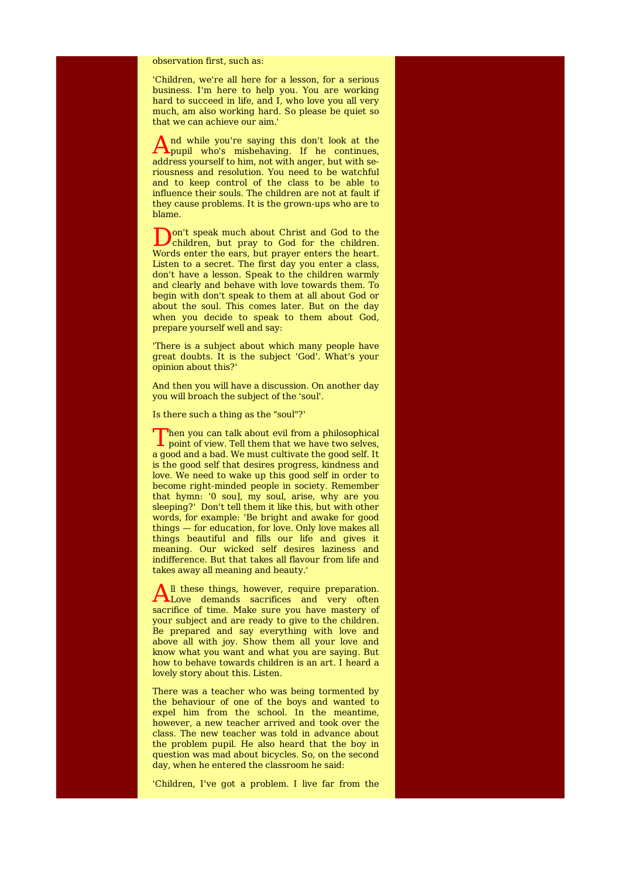#### observation first, such as:

'Children, we're all here for a lesson, for a serious business. I'm here to help you. You are working hard to succeed in life, and  $\overline{I}$ , who love you all very much, am also working hard. So please be quiet so that we can achieve our aim.'

And while you're saying this don't look at the pupil who's misbehaving. If he continues, pupil who's misbehaving. If he continues, address yourself to him, not with anger, but with seriousness and resolution. You need to be watchful and to keep control of the class to be able to influence their souls. The children are not at fault if they cause problems. It is the grown-ups who are to blame.

Don't speak much about Christ and God to the children, but pray to God for the children. children, but pray to God for the children. Words enter the ears, but prayer enters the heart. Listen to a secret. The first day you enter a class, don't have a lesson. Speak to the children warmly and clearly and behave with love towards them. To begin with don't speak to them at all about God or about the soul. This comes later. But on the day when you decide to speak to them about God, prepare yourself well and say:

'There is a subject about which many people have great doubts. It is the subject 'God'. What's your opinion about this?'

And then you will have a discussion. On another day you will broach the subject of the 'soul'.

Is there such a thing as the "soul"?'

Then you can talk about evil from a philosophical point of view. Tell them that we have two selves, **Then you can talk about evil from a philosophical** a good and a bad. We must cultivate the good self. It is the good self that desires progress, kindness and love. We need to wake up this good self in order to become right-minded people in society. Remember that hymn: '0 sou], my soul, arise, why are you sleeping?' Don't tell them it like this, but with other words, for example: 'Be bright and awake for good things — for education, for love. Only love makes all things beautiful and fills our life and gives it meaning. Our wicked self desires laziness and indifference. But that takes all flavour from life and takes away all meaning and beauty.'

All these things, however, require preparation.<br>Love demands sacrifices and very often ll these things, however, require preparation. sacrifice of time. Make sure you have mastery of your subject and are ready to give to the children. Be prepared and say everything with love and above all with joy. Show them all your love and know what you want and what you are saying. But how to behave towards children is an art. I heard a lovely story about this. Listen.

There was a teacher who was being tormented by the behaviour of one of the boys and wanted to expel him from the school. In the meantime, however, a new teacher arrived and took over the class. The new teacher was told in advance about the problem pupil. He also heard that the boy in question was mad about bicycles. So, on the second day, when he entered the classroom he said:

'Children, I've got a problem. I live far from the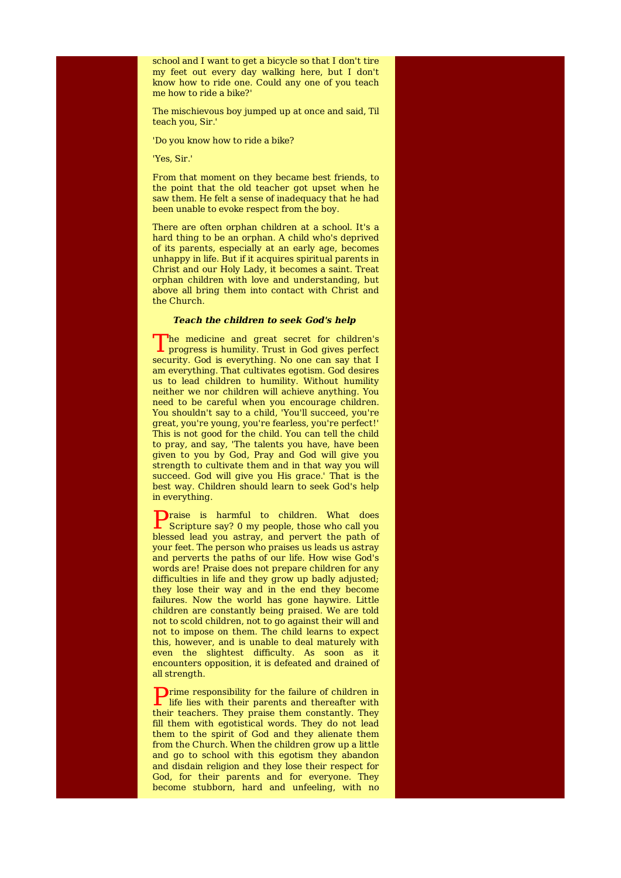school and I want to get a bicycle so that I don't tire my feet out every day walking here, but I don't know how to ride one. Could any one of you teach me how to ride a bike?'

The mischievous boy jumped up at once and said, Til teach you, Sir.'

'Do you know how to ride a bike?

'Yes, Sir.'

From that moment on they became best friends, to the point that the old teacher got upset when he saw them. He felt a sense of inadequacy that he had been unable to evoke respect from the boy.

There are often orphan children at a school. It's a hard thing to be an orphan. A child who's deprived of its parents, especially at an early age, becomes unhappy in life. But if it acquires spiritual parents in Christ and our Holy Lady, it becomes a saint. Treat orphan children with love and understanding, but above all bring them into contact with Christ and the Church.

#### **Teach the children to seek God's help**

T he medicine and great secret for children's  $\mathbf 1$  progress is humility. Trust in God gives perfect security. God is everything. No one can say that I am everything. That cultivates egotism. God desires us to lead children to humility. Without humility neither we nor children will achieve anything. You need to be careful when you encourage children. You shouldn't say to a child, 'You'll succeed, you're great, you're young, you're fearless, you're perfect!' This is not good for the child. You can tell the child to pray, and say, 'The talents you have, have been given to you by God, Pray and God will give you strength to cultivate them and in that way you will succeed. God will give you His grace.' That is the best way. Children should learn to seek God's help in everything.

**P**raise is harmful to children. What does<br>Scripture say? 0 my people, those who call you Scripture say? 0 my people, those who call you blessed lead you astray, and pervert the path of your feet. The person who praises us leads us astray and perverts the paths of our life. How wise God's words are! Praise does not prepare children for any difficulties in life and they grow up badly adjusted; they lose their way and in the end they become failures. Now the world has gone haywire. Little children are constantly being praised. We are told not to scold children, not to go against their will and not to impose on them. The child learns to expect this, however, and is unable to deal maturely with even the slightest difficulty. As soon as it encounters opposition, it is defeated and drained of all strength.

P rime responsibility for the failure of children in life lies with their parents and thereafter with their teachers. They praise them constantly. They fill them with egotistical words. They do not lead them to the spirit of God and they alienate them from the Church. When the children grow up a little and go to school with this egotism they abandon and disdain religion and they lose their respect for God, for their parents and for everyone. They become stubborn, hard and unfeeling, with no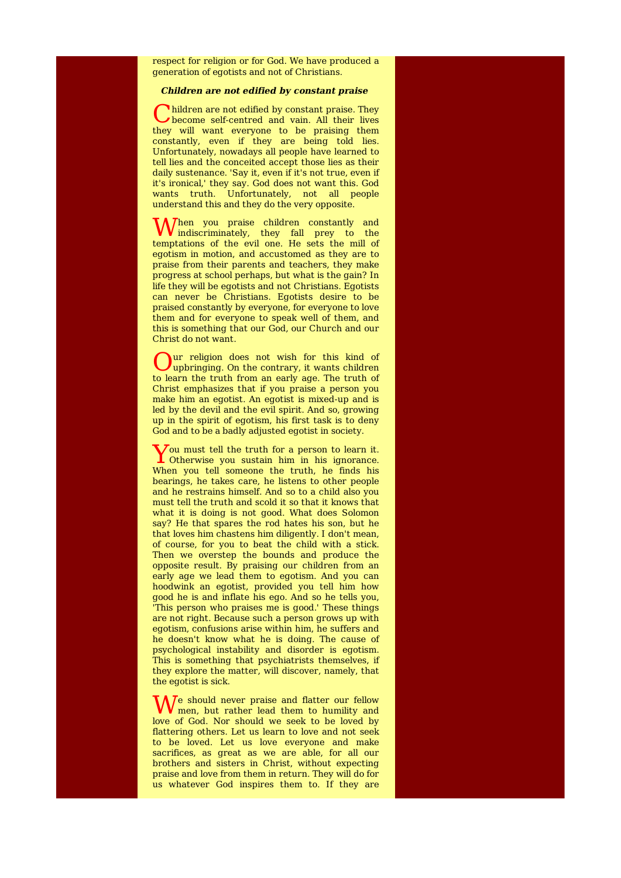respect for religion or for God. We have produced a generation of egotists and not of Christians.

## **Children are not edified by constant praise**

C hildren are not edified by constant praise. They become self-centred and vain. All their lives hildren are not edified by constant praise. They they will want everyone to be praising them constantly, even if they are being told lies. Unfortunately, nowadays all people have learned to tell lies and the conceited accept those lies as their daily sustenance. 'Say it, even if it's not true, even if it's ironical,' they say. God does not want this. God wants truth. Unfortunately, not all people understand this and they do the very opposite.

When you praise children constantly and<br>indiscriminately, they fall prey to the indiscriminately, they fall prey to the temptations of the evil one. He sets the mill of egotism in motion, and accustomed as they are to praise from their parents and teachers, they make progress at school perhaps, but what is the gain? In life they will be egotists and not Christians. Egotists can never be Christians. Egotists desire to be praised constantly by everyone, for everyone to love them and for everyone to speak well of them, and this is something that our God, our Church and our Christ do not want.

O upbringing. On the contrary, it wants children ur religion does not wish for this kind of to learn the truth from an early age. The truth of Christ emphasizes that if you praise a person you make him an egotist. An egotist is mixed-up and is led by the devil and the evil spirit. And so, growing up in the spirit of egotism, his first task is to deny God and to be a badly adjusted egotist in society.

You must tell the truth for a person to learn it.<br>
Otherwise you sustain him in his ignorance.  $\overline{z}$  ou must tell the truth for a person to learn it. When you tell someone the truth, he finds his bearings, he takes care, he listens to other people and he restrains himself. And so to a child also you must tell the truth and scold it so that it knows that what it is doing is not good. What does Solomon say? He that spares the rod hates his son, but he that loves him chastens him diligently. I don't mean, of course, for you to beat the child with a stick. Then we overstep the bounds and produce the opposite result. By praising our children from an early age we lead them to egotism. And you can hoodwink an egotist, provided you tell him how good he is and inflate his ego. And so he tells you, 'This person who praises me is good.' These things are not right. Because such a person grows up with egotism, confusions arise within him, he suffers and he doesn't know what he is doing. The cause of psychological instability and disorder is egotism. This is something that psychiatrists themselves, if they explore the matter, will discover, namely, that the egotist is sick.

We should never praise and flatter our fellow<br>men, but rather lead them to humility and men, but rather lead them to humility and love of God. Nor should we seek to be loved by flattering others. Let us learn to love and not seek to be loved. Let us love everyone and make sacrifices, as great as we are able, for all our brothers and sisters in Christ, without expecting praise and love from them in return. They will do for us whatever God inspires them to. If they are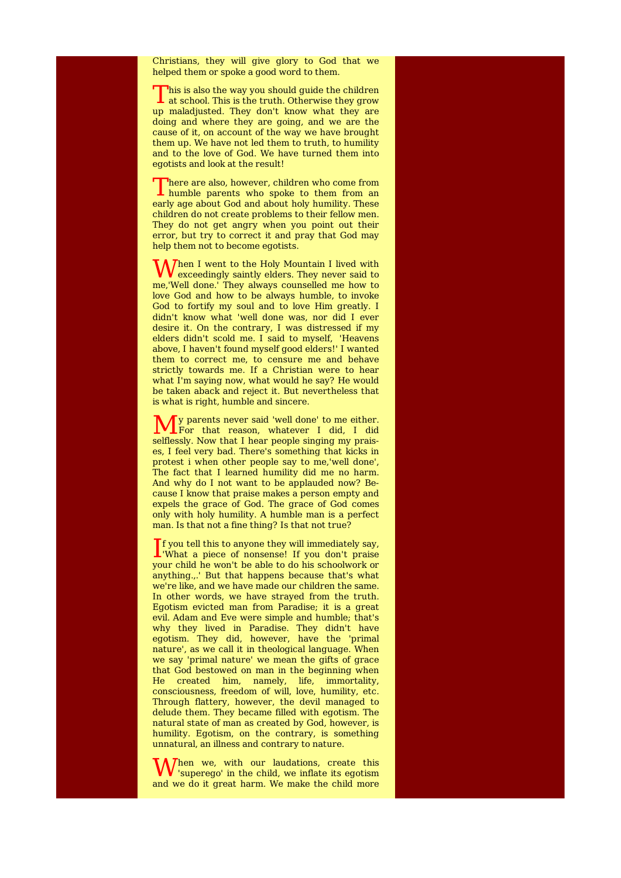Christians, they will give glory to God that we helped them or spoke a good word to them.

This is also the way you should guide the children<br>at school. This is the truth. Otherwise they grow  $\Gamma$  his is also the way you should quide the children up maladjusted. They don't know what they are doing and where they are going, and we are the cause of it, on account of the way we have brought them up. We have not led them to truth, to humility and to the love of God. We have turned them into egotists and look at the result!

There are also, however, children who come from<br>humble parents who spoke to them from an humble parents who spoke to them from an early age about God and about holy humility. These children do not create problems to their fellow men. They do not get angry when you point out their error, but try to correct it and pray that God may help them not to become egotists.

**W** hen I went to the Holy Mountain I lived with exceedingly saintly elders. They never said to exceedingly saintly elders. They never said to me,'Well done.' They always counselled me how to love God and how to be always humble, to invoke God to fortify my soul and to love Him greatly. I didn't know what 'well done was, nor did I ever desire it. On the contrary, I was distressed if my elders didn't scold me. I said to myself, 'Heavens above, I haven't found myself good elders!' I wanted them to correct me, to censure me and behave strictly towards me. If a Christian were to hear what I'm saying now, what would he say? He would be taken aback and reject it. But nevertheless that is what is right, humble and sincere.

**M** y parents never said 'well done' to me either. y parents never said 'well done' to me either. selflessly. Now that I hear people singing my praises, I feel very bad. There's something that kicks in protest i when other people say to me,'well done', The fact that I learned humility did me no harm. And why do I not want to be applauded now? Because I know that praise makes a person empty and expels the grace of God. The grace of God comes only with holy humility. A humble man is a perfect man. Is that not a fine thing? Is that not true?

 $\int$  f you tell this to anyone they will immediately say, What a piece of nonsense! If you don't praise 'What a piece of nonsense! If you don't praise your child he won't be able to do his schoolwork or anything.,.' But that happens because that's what we're like, and we have made our children the same. In other words, we have strayed from the truth. Egotism evicted man from Paradise; it is a great evil. Adam and Eve were simple and humble; that's why they lived in Paradise. They didn't have egotism. They did, however, have the 'primal nature', as we call it in theological language. When we say 'primal nature' we mean the gifts of grace that God bestowed on man in the beginning when He created him, namely, life, immortality, consciousness, freedom of will, love, humility, etc. Through flattery, however, the devil managed to delude them. They became filled with egotism. The natural state of man as created by God, however, is humility. Egotism, on the contrary, is something unnatural, an illness and contrary to nature.

W 'superego' in the child, we inflate its egotism Then we, with our laudations, create this and we do it great harm. We make the child more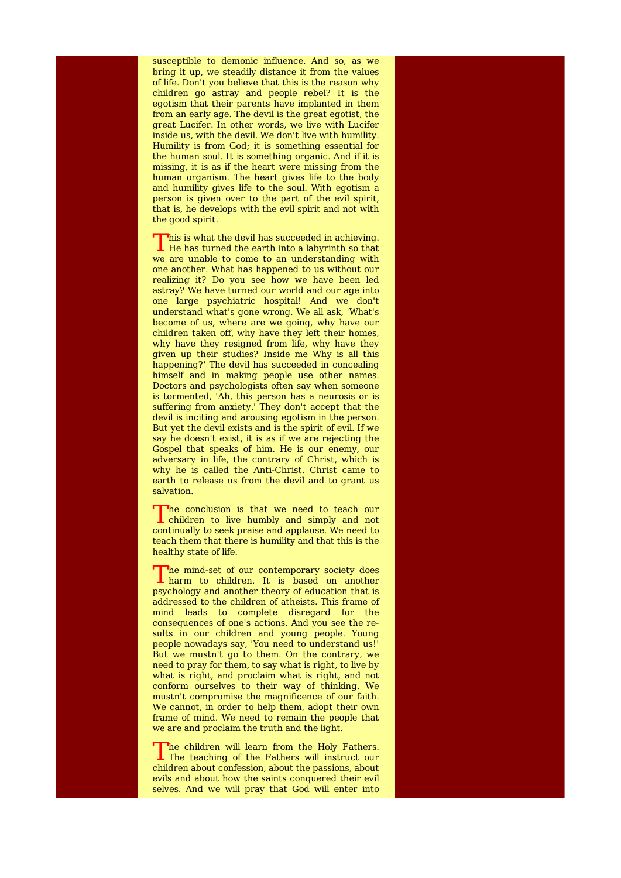susceptible to demonic influence. And so, as we bring it up, we steadily distance it from the values of life. Don't you believe that this is the reason why children go astray and people rebel? It is the egotism that their parents have implanted in them from an early age. The devil is the great egotist, the great Lucifer. In other words, we live with Lucifer inside us, with the devil. We don't live with humility. Humility is from God; it is something essential for the human soul. It is something organic. And if it is missing, it is as if the heart were missing from the human organism. The heart gives life to the body and humility gives life to the soul. With egotism a person is given over to the part of the evil spirit, that is, he develops with the evil spirit and not with the good spirit.

This is what the devil has succeeded in achieving.<br>He has turned the earth into a labyrinth so that  $\Box$ his is what the devil has succeeded in achieving. we are unable to come to an understanding with one another. What has happened to us without our realizing it? Do you see how we have been led astray? We have turned our world and our age into one large psychiatric hospital! And we don't understand what's gone wrong. We all ask, 'What's become of us, where are we going, why have our children taken off, why have they left their homes, why have they resigned from life, why have they given up their studies? Inside me Why is all this happening?' The devil has succeeded in concealing himself and in making people use other names. Doctors and psychologists often say when someone is tormented, 'Ah, this person has a neurosis or is suffering from anxiety.' They don't accept that the devil is inciting and arousing egotism in the person. But yet the devil exists and is the spirit of evil. If we say he doesn't exist, it is as if we are rejecting the Gospel that speaks of him. He is our enemy, our adversary in life, the contrary of Christ, which is why he is called the Anti-Christ. Christ came to earth to release us from the devil and to grant us salvation.

The conclusion is that we need to teach our children to live humbly and simply and not The conclusion is that we need to teach our continually to seek praise and applause. We need to teach them that there is humility and that this is the healthy state of life.

The mind-set of our contemporary society does harm to children. It is based on another he mind-set of our contemporary society does psychology and another theory of education that is addressed to the children of atheists. This frame of mind leads to complete disregard for the consequences of one's actions. And you see the results in our children and young people. Young people nowadays say, 'You need to understand us!' But we mustn't go to them. On the contrary, we need to pray for them, to say what is right, to live by what is right, and proclaim what is right, and not conform ourselves to their way of thinking. We mustn't compromise the magnificence of our faith. We cannot, in order to help them, adopt their own frame of mind. We need to remain the people that we are and proclaim the truth and the light.

The children will learn from the Holy Fathers.<br>The teaching of the Fathers will instruct our The children will learn from the Holy Fathers. children about confession, about the passions, about evils and about how the saints conquered their evil selves. And we will pray that God will enter into